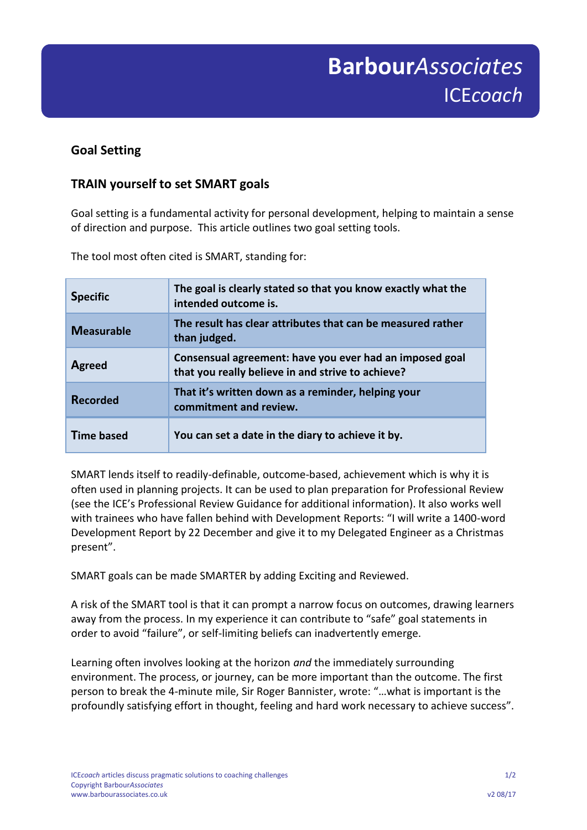## **Goal Setting**

## **TRAIN yourself to set SMART goals**

Goal setting is a fundamental activity for personal development, helping to maintain a sense of direction and purpose. This article outlines two goal setting tools.

The tool most often cited is SMART, standing for:

| <b>Specific</b>   | The goal is clearly stated so that you know exactly what the<br>intended outcome is.                         |
|-------------------|--------------------------------------------------------------------------------------------------------------|
| <b>Measurable</b> | The result has clear attributes that can be measured rather<br>than judged.                                  |
| <b>Agreed</b>     | Consensual agreement: have you ever had an imposed goal<br>that you really believe in and strive to achieve? |
| <b>Recorded</b>   | That it's written down as a reminder, helping your<br>commitment and review.                                 |
| Time based        | You can set a date in the diary to achieve it by.                                                            |

SMART lends itself to readily-definable, outcome-based, achievement which is why it is often used in planning projects. It can be used to plan preparation for Professional Review (see the ICE's Professional Review Guidance for additional information). It also works well with trainees who have fallen behind with Development Reports: "I will write a 1400-word Development Report by 22 December and give it to my Delegated Engineer as a Christmas present".

SMART goals can be made SMARTER by adding Exciting and Reviewed.

A risk of the SMART tool is that it can prompt a narrow focus on outcomes, drawing learners away from the process. In my experience it can contribute to "safe" goal statements in order to avoid "failure", or self-limiting beliefs can inadvertently emerge.

Learning often involves looking at the horizon *and* the immediately surrounding environment. The process, or journey, can be more important than the outcome. The first person to break the 4-minute mile, Sir Roger Bannister, wrote: "…what is important is the profoundly satisfying effort in thought, feeling and hard work necessary to achieve success".